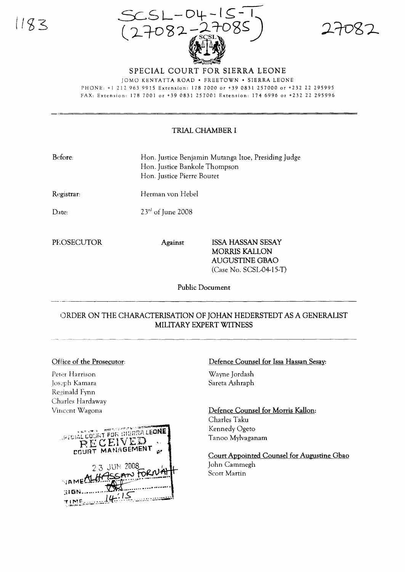

SPECIAL COURT FOR SIERRA LEONE

lOMO KENYATTA ROAD' FREETOWN' SIERRA LEONE PHONE: +1 212 963 9915 Extension: 178 7000 or +39 0831 257000 or +232 22 295995 FAX: Extension: 1787001 or +39 0831257001 Extension: 1746996 or +23222295996

### TRIAL CHAMBER I

| Before: | Hon. Justice Benjamin Mutanga Itoe, Presiding Judge |
|---------|-----------------------------------------------------|
|         | Hon. Justice Bankole Thompson                       |
|         | Hon. Justice Pierre Boutet                          |

Registrar:

Herman von Hebel

 $23<sup>rd</sup>$  of June 2008

Date:

PHOSECUTOR Against ISSA HASSAN SESAY MORRIS KALLON AUGUSTINE GBAO (Case No. SCSL-04-15-T)

Public Document

# ORDER ON THE CHARACTERISATION OF JOHAN HEDERSTEDT AS A GENERALIST MILITARY EXPERT WITNESS ..'" \_------ ---------------------------

# Office of the Prosecutor:

Peter Harrison Josc:ph Kamara Reginald Fynn Charles Hardaway Vincent Wagona



#### Defence Counsel for Issa Hassan Sesay:

Wayne Jordash Sareta Ashraph

Defence Counsel for Morris Kallon: Charles Taku Kennedy Ogeto Tanoo Mylvaganam

Court Appointed Counsel for Augustine Gbao John Cammegh Scott Martin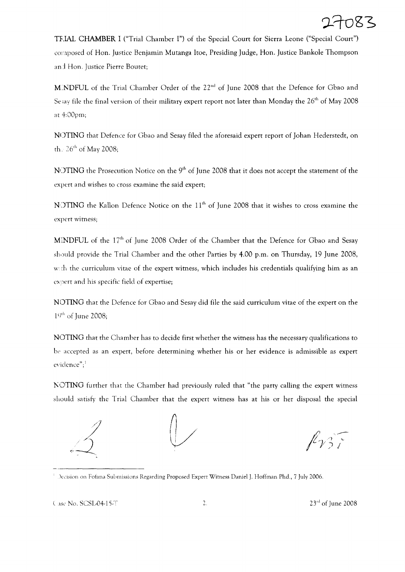TFJA.L **CHAMBER I** ("Trial Chamber I") of the Special Court for Sierra Leone ("Special Court") cmnposed of Han. Justice Benjamin Mutanga Itoe, Presiding Judge, Han. Justice Bankole Thompson an:1 Han. Justice Pierre Bouret;

M.NDFUL of the Trial Chamber Order of the 22<sup>nd</sup> of June 2008 that the Defence for Gbao and Se say file the final version of their military expert report not later than Monday the  $26<sup>th</sup>$  of May 2008 at 4:00pm;

NOTING that Defence for Gbao and Sesay filed the aforesaid expert report of Johan Hederstedt, on th.  $26<sup>th</sup>$  of May 2008;

NOTING the Prosecution Notice on the 9<sup>th</sup> of June 2008 that it does not accept the statement of the expert and wishes to cross examine the said expert;

NOTING the Kallon Defence Notice on the 11<sup>th</sup> of June 2008 that it wishes to cross examine the expert witness;

MINDFUL of the 17<sup>th</sup> of June 2008 Order of the Chamber that the Defence for Gbao and Sesay sbould provide the Trial Chamber and the other Parties by 4.00 p.m. on Thursday, 19 June 2008, with the curriculum vitae of the expert witness, which includes his credentials qualifying him as an expert and his specific field of expertise;

NOTING that the Defence for Gbao and Sesay did file the said curriculum vitae of the expert on the  $1^{9<sup>th</sup>}$  of June 2008;

NOTING that the Chamber has to decide first whether the witness has the necessary qualifications to be accepted as an expert, before determining whether his or her evidence is admissible as expert evidence";<sup>1</sup>

NOTING further that the Chamber had previously ruled that "the party calling the expert witness should satisfy the Trial Chamber that the expert witness has at his or her disposal the special



 $k_{\gamma}$ 

<sup>&</sup>lt;sup>1</sup> Decision on Fofana Submissions Regarding Proposed Expert Witness Daniel J. Hoffman Phd., 7 July 2006.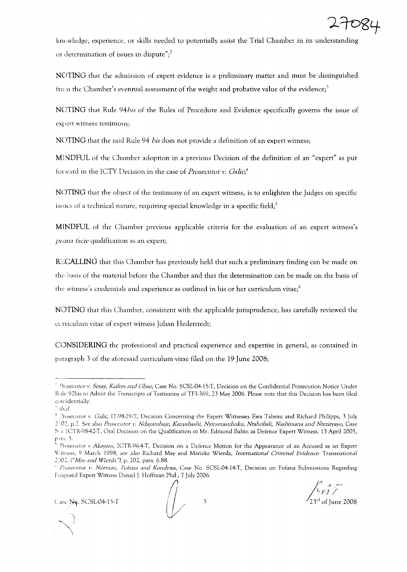

knuwledge, experience, or skills nceded to potentially assist the Trial Chamber in its understanding or determination of issues in dispute";<sup>2</sup>

NOTING that the admission of expert evidence is a preliminary matter and must be distinguished from the Chamber's eventual assessment of the weight and probative value of the evidence;<sup>3</sup>

N011NG that Rule *94bis* of the Rules of Procedurc and Evidence specifically governs the issue of expert witness testimony;

NOTING that the said Rule 94 *bis* does not provide a definition of an expert witness;

MJNDFUL of the Chamber adoption in a previous Decision of the definition of an "expert" as put forward in the ICTY Decision in the case of *Prosecutor v. Galic*,<sup>4</sup>

NOTING that the object of the testimony of an expert witness, is to enlighten the Judges on specific issues of a technical nature, requiring special knowledge in a specific field;<sup>5</sup>

MINDFUL of the Chamber previous applicable criteria for the evaluation of an expert witness's  $p$ *ima facie* qualification as an expert;

RECALLING that this Chamber has previously held that such a preliminary finding can be made on the basis of the material before the Chamber and that the determination can be made on the basis of the witness's credentials and experience as outlined in his or her curriculum vitae;<sup>6</sup>

NOTING that this Chamber, consistent with the applicable jurisprudence, has carefully reviewed the curriculum vitae of expert witness Johan Hederstedt;

CONSIDERING the professional and practical experience and expertise in general, as contained in paragraph 3 of the aforesaid curriculum vitae filed on the 19 June 2008;

 $\bigcup$ 

 $f' \circ \tau$  $\frac{1}{2}$ 

*Prosecutor v. Sesay, Kallon and Gbao,* Case No. SCSL-04-15-T, Decision on the Confidential Prosecution Notice Under Rule- 92bis to Admit the Transcripts of Testimony of TF1-369, 23 May 2006. Please note that this Decision has been filed confidentially.

<sup>1</sup> *ibid.*

<sup>4</sup> *,"rosecutor v. Galic,* IT98-29-T, Decision Concerning the Expert Wimesses Ewa Tabeau and Richard Philipps, 3 July 2~02, p.2. See also *Prosecutor v. Ndayambaje, KanyabaslJJ; NyiramaslIhllko, NtahobaiI; Nsabimana and Nteziryayo,* Case No. ICTR-98-42-T, Oral Decision on the Qualification of Mr. Edmond Babin as Defence Expert Witness, 13 April 2005, p ira. 5.

<sup>&</sup>lt; *Prosecutor v Akayesu,* lCTR-96-4-T, Decision on a Defence Motion for the Appearance of an Accused as an Expert 'Jiitness, 9 March 1998; *see also* Richard May and Marieke Wierda, *International Criminal Evidence:* Transnational 2:102, (" *May and Wierda n),* p. 202, para. 6.88.

<sup>(,</sup> */;'''osecutor v. Norman, Forana and Kondewa,* Case No. SCSL-04-14-T, Decision on Fofana Submissions Regarding hoposed Expert Witness Daniel J. Hoffman Phd., 7 July 2006.